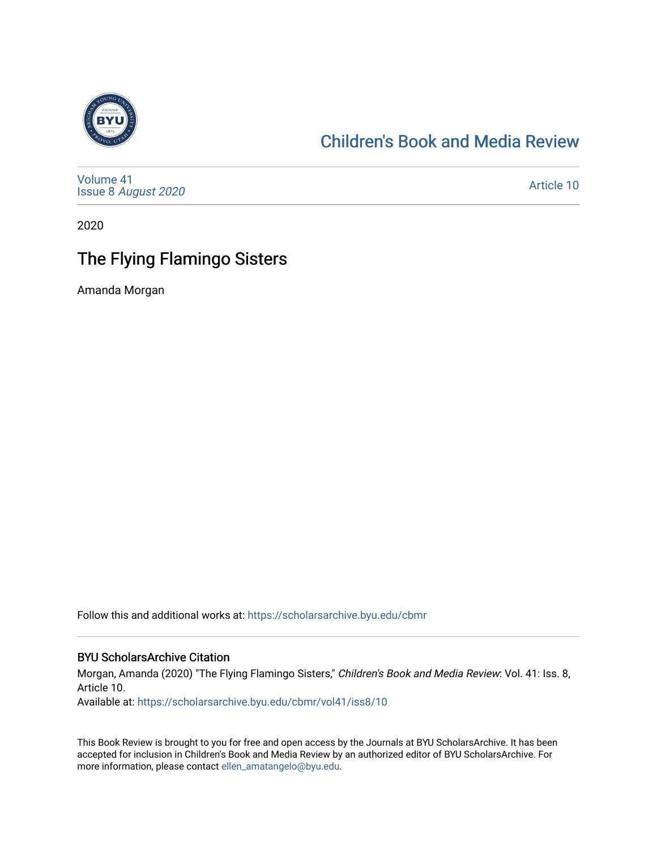

## [Children's Book and Media Review](https://scholarsarchive.byu.edu/cbmr)

[Volume 41](https://scholarsarchive.byu.edu/cbmr/vol41) Issue 8 [August 2020](https://scholarsarchive.byu.edu/cbmr/vol41/iss8) 

[Article 10](https://scholarsarchive.byu.edu/cbmr/vol41/iss8/10) 

2020

## The Flying Flamingo Sisters

Amanda Morgan

Follow this and additional works at: [https://scholarsarchive.byu.edu/cbmr](https://scholarsarchive.byu.edu/cbmr?utm_source=scholarsarchive.byu.edu%2Fcbmr%2Fvol41%2Fiss8%2F10&utm_medium=PDF&utm_campaign=PDFCoverPages) 

#### BYU ScholarsArchive Citation

Morgan, Amanda (2020) "The Flying Flamingo Sisters," Children's Book and Media Review: Vol. 41: Iss. 8, Article 10.

Available at: [https://scholarsarchive.byu.edu/cbmr/vol41/iss8/10](https://scholarsarchive.byu.edu/cbmr/vol41/iss8/10?utm_source=scholarsarchive.byu.edu%2Fcbmr%2Fvol41%2Fiss8%2F10&utm_medium=PDF&utm_campaign=PDFCoverPages)

This Book Review is brought to you for free and open access by the Journals at BYU ScholarsArchive. It has been accepted for inclusion in Children's Book and Media Review by an authorized editor of BYU ScholarsArchive. For more information, please contact [ellen\\_amatangelo@byu.edu.](mailto:ellen_amatangelo@byu.edu)